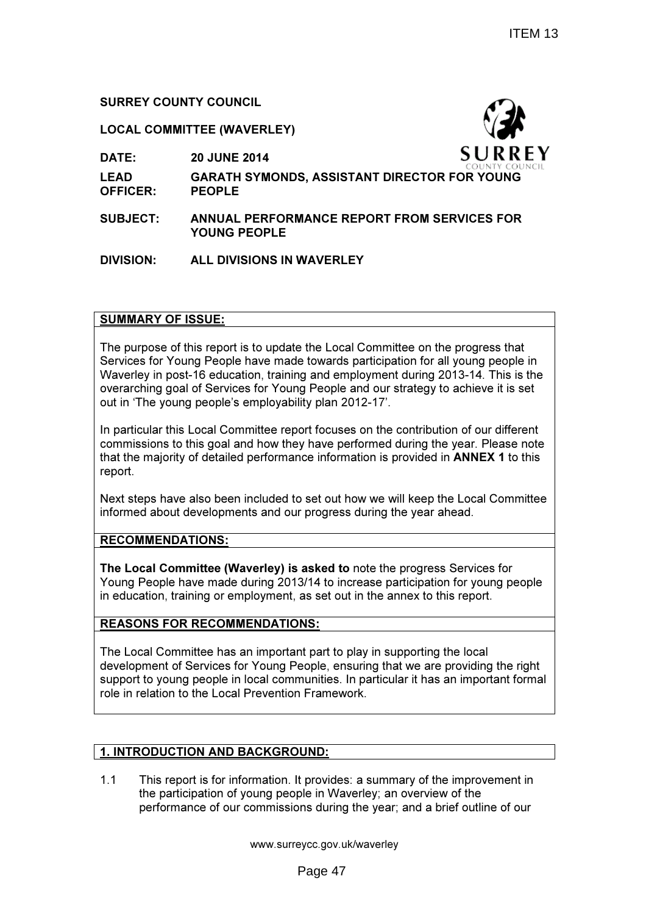# SURREY COUNTY COUNCIL

## LOCAL COMMITTEE (WAVERLEY)

DATE: 20 JUNE 2014



- LEAD OFFICER: GARATH SYMONDS, ASSISTANT DIRECTOR FOR YOUNG PEOPLE
- SUBJECT: ANNUAL PERFORMANCE REPORT FROM SERVICES FOR YOUNG PEOPLE

# DIVISION: ALL DIVISIONS IN WAVERLEY

## SUMMARY OF ISSUE:

The purpose of this report is to update the Local Committee on the progress that Services for Young People have made towards participation for all young people in Waverley in post-16 education, training and employment during 2013-14. This is the overarching goal of Services for Young People and our strategy to achieve it is set out in 'The young people's employability plan 2012-17'.

In particular this Local Committee report focuses on the contribution of our different commissions to this goal and how they have performed during the year. Please note that the majority of detailed performance information is provided in ANNEX 1 to this report.

Next steps have also been included to set out how we will keep the Local Committee informed about developments and our progress during the year ahead.

### RECOMMENDATIONS:

The Local Committee (Waverley) is asked to note the progress Services for Young People have made during 2013/14 to increase participation for young people in education, training or employment, as set out in the annex to this report.

# REASONS FOR RECOMMENDATIONS:

The Local Committee has an important part to play in supporting the local development of Services for Young People, ensuring that we are providing the right support to young people in local communities. In particular it has an important formal role in relation to the Local Prevention Framework.

# 1. INTRODUCTION AND BACKGROUND:

1.1 This report is for information. It provides: a summary of the improvement in the participation of young people in Waverley; an overview of the performance of our commissions during the year; and a brief outline of our

www.surreycc.gov.uk/waverley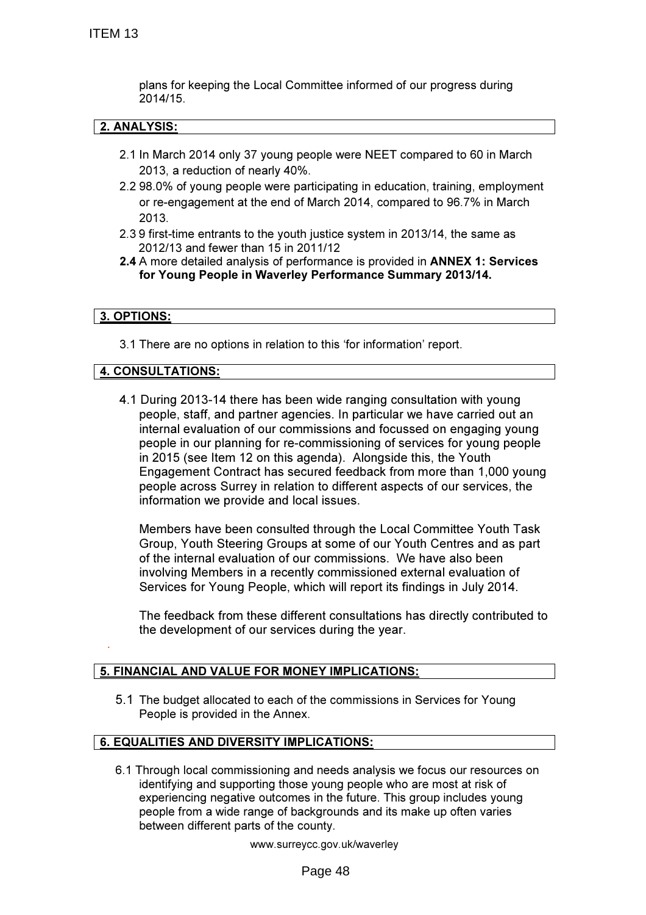plans for keeping the Local Committee informed of our progress during 2014/15.

# 2. ANALYSIS:

- 2.1 In March 2014 only 37 young people were NEET compared to 60 in March 2013, a reduction of nearly 40%.
- 2.2 98.0% of young people were participating in education, training, employment or re-engagement at the end of March 2014, compared to 96.7% in March 2013.
- 2.3 9 first-time entrants to the youth justice system in 2013/14, the same as 2012/13 and fewer than 15 in 2011/12
- 2.4 A more detailed analysis of performance is provided in ANNEX 1: Services for Young People in Waverley Performance Summary 2013/14.

### 3. OPTIONS:

.

3.1 There are no options in relation to this 'for information' report.

## 4. CONSULTATIONS:

4.1 During 2013-14 there has been wide ranging consultation with young people, staff, and partner agencies. In particular we have carried out an internal evaluation of our commissions and focussed on engaging young people in our planning for re-commissioning of services for young people in 2015 (see Item 12 on this agenda). Alongside this, the Youth Engagement Contract has secured feedback from more than 1,000 young people across Surrey in relation to different aspects of our services, the information we provide and local issues.

Members have been consulted through the Local Committee Youth Task Group, Youth Steering Groups at some of our Youth Centres and as part of the internal evaluation of our commissions. We have also been involving Members in a recently commissioned external evaluation of Services for Young People, which will report its findings in July 2014.

The feedback from these different consultations has directly contributed to the development of our services during the year.

# 5. FINANCIAL AND VALUE FOR MONEY IMPLICATIONS:

5.1 The budget allocated to each of the commissions in Services for Young People is provided in the Annex.

### 6. EQUALITIES AND DIVERSITY IMPLICATIONS:

6.1 Through local commissioning and needs analysis we focus our resources on identifying and supporting those young people who are most at risk of experiencing negative outcomes in the future. This group includes young people from a wide range of backgrounds and its make up often varies between different parts of the county.

www.surreycc.gov.uk/waverley

Page 48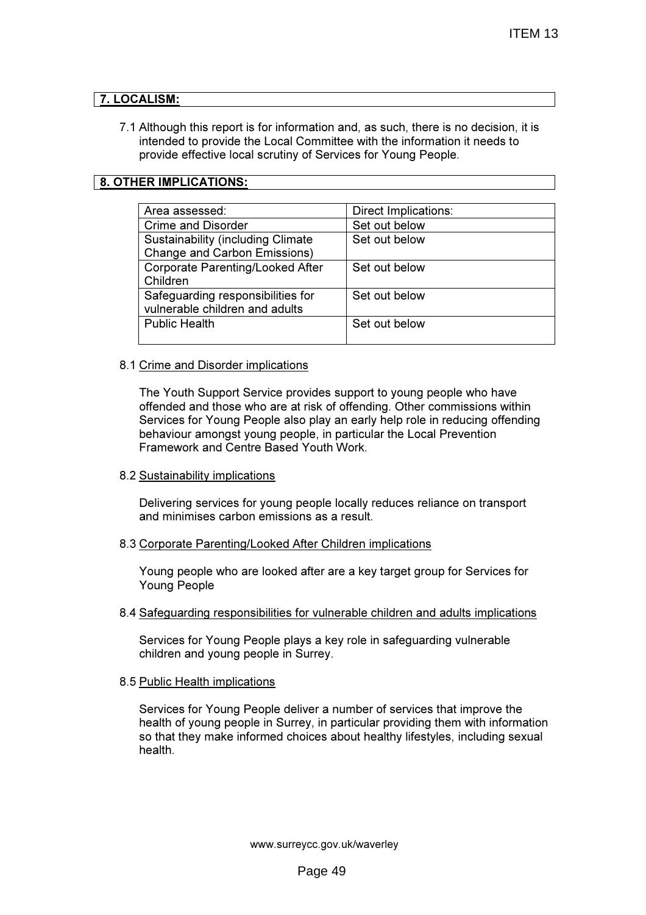# 7. LOCALISM:

7.1 Although this report is for information and, as such, there is no decision, it is intended to provide the Local Committee with the information it needs to provide effective local scrutiny of Services for Young People.

# 8. OTHER IMPLICATIONS:

| Area assessed:                            | Direct Implications: |
|-------------------------------------------|----------------------|
| <b>Crime and Disorder</b>                 | Set out below        |
| <b>Sustainability (including Climate)</b> | Set out below        |
| <b>Change and Carbon Emissions)</b>       |                      |
| <b>Corporate Parenting/Looked After</b>   | Set out below        |
| Children                                  |                      |
| Safeguarding responsibilities for         | Set out below        |
| vulnerable children and adults            |                      |
| <b>Public Health</b>                      | Set out below        |
|                                           |                      |

## 8.1 Crime and Disorder implications

The Youth Support Service provides support to young people who have offended and those who are at risk of offending. Other commissions within Services for Young People also play an early help role in reducing offending behaviour amongst young people, in particular the Local Prevention Framework and Centre Based Youth Work.

# 8.2 Sustainability implications

Delivering services for young people locally reduces reliance on transport and minimises carbon emissions as a result.

# 8.3 Corporate Parenting/Looked After Children implications

Young people who are looked after are a key target group for Services for Young People

### 8.4 Safeguarding responsibilities for vulnerable children and adults implications

Services for Young People plays a key role in safeguarding vulnerable children and young people in Surrey.

# 8.5 Public Health implications

Services for Young People deliver a number of services that improve the health of young people in Surrey, in particular providing them with information so that they make informed choices about healthy lifestyles, including sexual health.